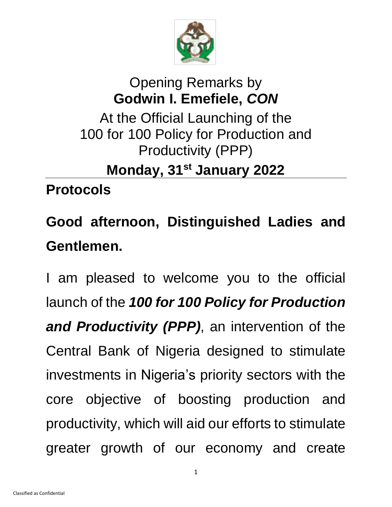

## Opening Remarks by **Godwin I. Emefiele,** *CON* At the Official Launching of the 100 for 100 Policy for Production and Productivity (PPP) **Monday, 31st January 2022**

**Protocols**

## **Good afternoon, Distinguished Ladies and Gentlemen.**

I am pleased to welcome you to the official launch of the *100 for 100 Policy for Production and Productivity (PPP)*, an intervention of the Central Bank of Nigeria designed to stimulate investments in Nigeria's priority sectors with the core objective of boosting production and productivity, which will aid our efforts to stimulate greater growth of our economy and create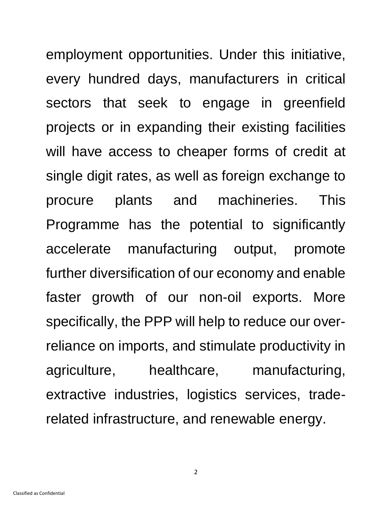employment opportunities. Under this initiative, every hundred days, manufacturers in critical sectors that seek to engage in greenfield projects or in expanding their existing facilities will have access to cheaper forms of credit at single digit rates, as well as foreign exchange to procure plants and machineries. This Programme has the potential to significantly accelerate manufacturing output, promote further diversification of our economy and enable faster growth of our non-oil exports. More specifically, the PPP will help to reduce our overreliance on imports, and stimulate productivity in agriculture, healthcare, manufacturing, extractive industries, logistics services, traderelated infrastructure, and renewable energy.

2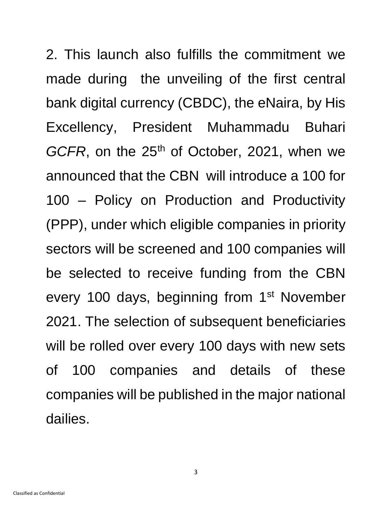2. This launch also fulfills the commitment we made during the unveiling of the first central bank digital currency (CBDC), the eNaira, by His Excellency, President Muhammadu Buhari GCFR, on the 25<sup>th</sup> of October, 2021, when we announced that the CBN will introduce a 100 for 100 – Policy on Production and Productivity (PPP), under which eligible companies in priority sectors will be screened and 100 companies will be selected to receive funding from the CBN every 100 days, beginning from 1<sup>st</sup> November 2021. The selection of subsequent beneficiaries will be rolled over every 100 days with new sets of 100 companies and details of these companies will be published in the major national dailies.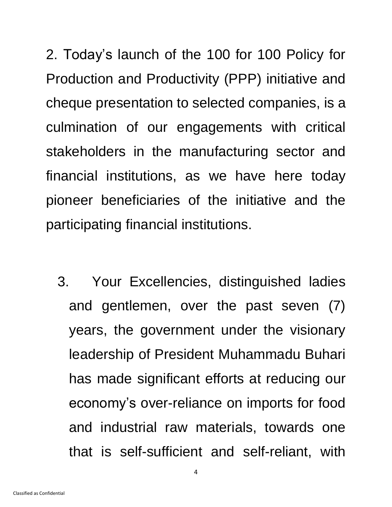2. Today's launch of the 100 for 100 Policy for Production and Productivity (PPP) initiative and cheque presentation to selected companies, is a culmination of our engagements with critical stakeholders in the manufacturing sector and financial institutions, as we have here today pioneer beneficiaries of the initiative and the participating financial institutions.

3. Your Excellencies, distinguished ladies and gentlemen, over the past seven (7) years, the government under the visionary leadership of President Muhammadu Buhari has made significant efforts at reducing our economy's over-reliance on imports for food and industrial raw materials, towards one that is self-sufficient and self-reliant, with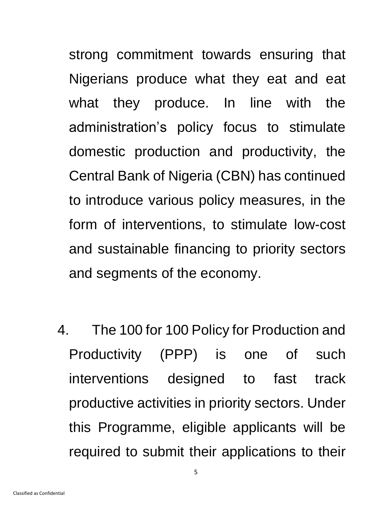strong commitment towards ensuring that Nigerians produce what they eat and eat what they produce. In line with the administration's policy focus to stimulate domestic production and productivity, the Central Bank of Nigeria (CBN) has continued to introduce various policy measures, in the form of interventions, to stimulate low-cost and sustainable financing to priority sectors and segments of the economy.

4. The 100 for 100 Policy for Production and Productivity (PPP) is one of such interventions designed to fast track productive activities in priority sectors. Under this Programme, eligible applicants will be required to submit their applications to their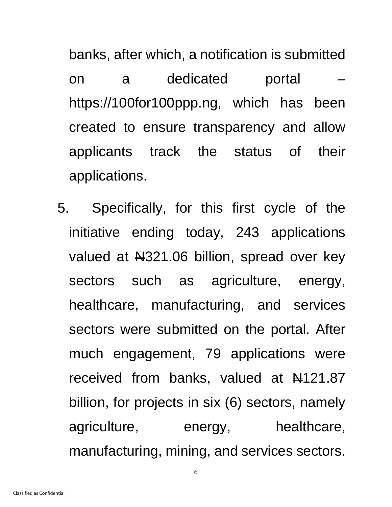banks, after which, a notification is submitted on a dedicated portal – [https://100for100ppp.ng,](https://100for100ppp.ng/) which has been created to ensure transparency and allow applicants track the status of their applications.

5. Specifically, for this first cycle of the initiative ending today, 243 applications valued at  $\frac{1221.06}{1000}$  billion, spread over key sectors such as agriculture, energy, healthcare, manufacturing, and services sectors were submitted on the portal. After much engagement, 79 applications were received from banks, valued at  $\frac{1}{21.87}$ billion, for projects in six (6) sectors, namely agriculture, energy, healthcare, manufacturing, mining, and services sectors.

6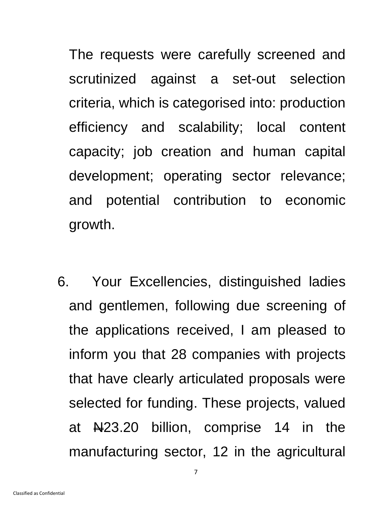The requests were carefully screened and scrutinized against a set-out selection criteria, which is categorised into: production efficiency and scalability; local content capacity; job creation and human capital development; operating sector relevance; and potential contribution to economic growth.

6. Your Excellencies, distinguished ladies and gentlemen, following due screening of the applications received, I am pleased to inform you that 28 companies with projects that have clearly articulated proposals were selected for funding. These projects, valued at  $N=23.20$  billion, comprise 14 in the manufacturing sector, 12 in the agricultural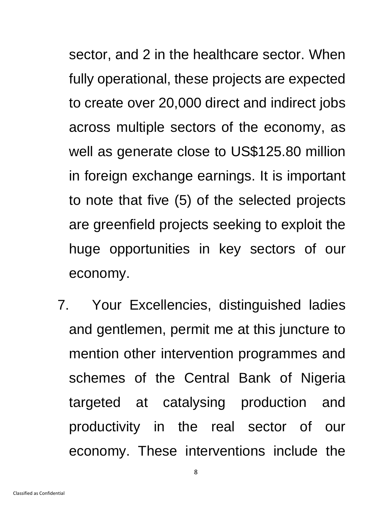sector, and 2 in the healthcare sector. When fully operational, these projects are expected to create over 20,000 direct and indirect jobs across multiple sectors of the economy, as well as generate close to US\$125.80 million in foreign exchange earnings. It is important to note that five (5) of the selected projects are greenfield projects seeking to exploit the huge opportunities in key sectors of our economy.

7. Your Excellencies, distinguished ladies and gentlemen, permit me at this juncture to mention other intervention programmes and schemes of the Central Bank of Nigeria targeted at catalysing production and productivity in the real sector of our economy. These interventions include the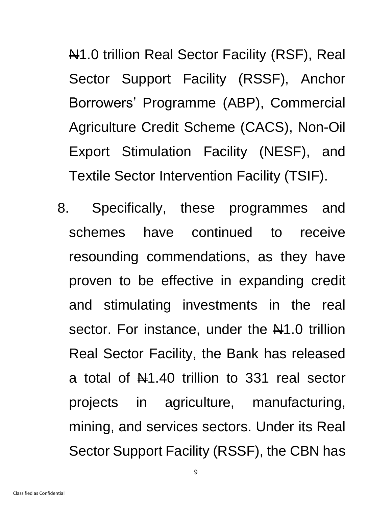N1.0 trillion Real Sector Facility (RSF), Real Sector Support Facility (RSSF), Anchor Borrowers' Programme (ABP), Commercial Agriculture Credit Scheme (CACS), Non-Oil Export Stimulation Facility (NESF), and Textile Sector Intervention Facility (TSIF).

8. Specifically, these programmes and schemes have continued to receive resounding commendations, as they have proven to be effective in expanding credit and stimulating investments in the real sector. For instance, under the  $\frac{1}{2}$ 1.0 trillion Real Sector Facility, the Bank has released a total of  $\mathbb{H}$ 1.40 trillion to 331 real sector projects in agriculture, manufacturing, mining, and services sectors. Under its Real Sector Support Facility (RSSF), the CBN has

9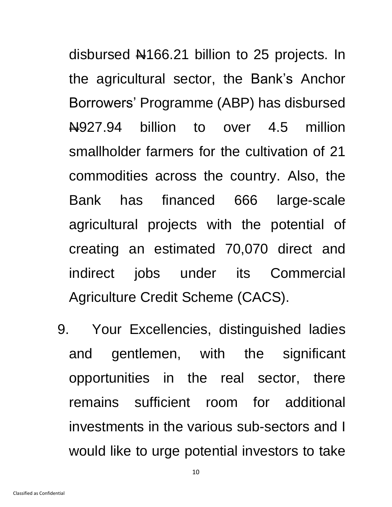disbursed N166.21 billion to 25 projects. In the agricultural sector, the Bank's Anchor Borrowers' Programme (ABP) has disbursed N927.94 billion to over 4.5 million smallholder farmers for the cultivation of 21 commodities across the country. Also, the Bank has financed 666 large-scale agricultural projects with the potential of creating an estimated 70,070 direct and indirect jobs under its Commercial Agriculture Credit Scheme (CACS).

9. Your Excellencies, distinguished ladies and gentlemen, with the significant opportunities in the real sector, there remains sufficient room for additional investments in the various sub-sectors and I would like to urge potential investors to take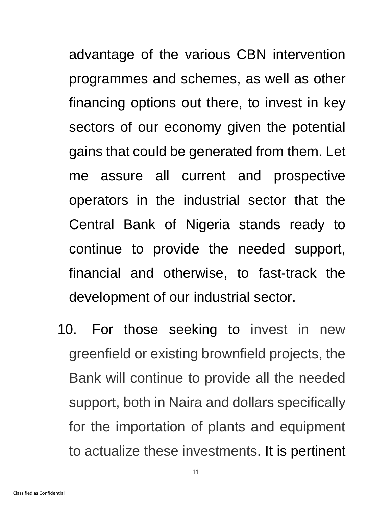advantage of the various CBN intervention programmes and schemes, as well as other financing options out there, to invest in key sectors of our economy given the potential gains that could be generated from them. Let me assure all current and prospective operators in the industrial sector that the Central Bank of Nigeria stands ready to continue to provide the needed support, financial and otherwise, to fast-track the development of our industrial sector.

10. For those seeking to invest in new greenfield or existing brownfield projects, the Bank will continue to provide all the needed support, both in Naira and dollars specifically for the importation of plants and equipment to actualize these investments. It is pertinent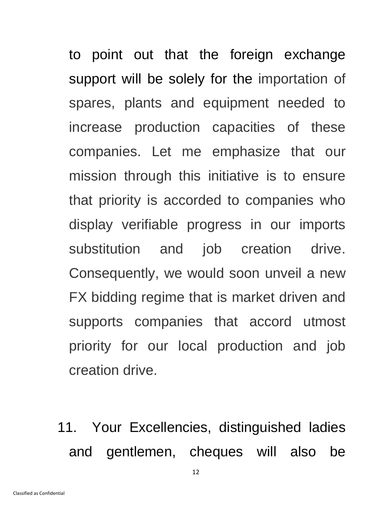to point out that the foreign exchange support will be solely for the importation of spares, plants and equipment needed to increase production capacities of these companies. Let me emphasize that our mission through this initiative is to ensure that priority is accorded to companies who display verifiable progress in our imports substitution and job creation drive. Consequently, we would soon unveil a new FX bidding regime that is market driven and supports companies that accord utmost priority for our local production and job creation drive.

11. Your Excellencies, distinguished ladies and gentlemen, cheques will also be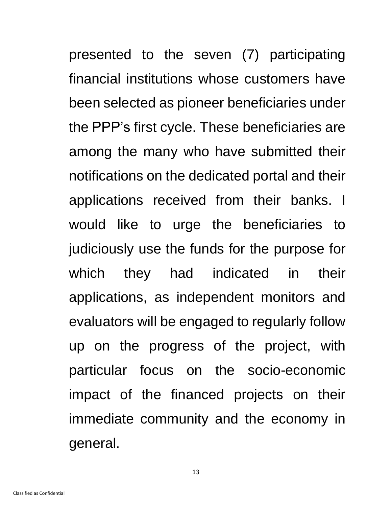presented to the seven (7) participating financial institutions whose customers have been selected as pioneer beneficiaries under the PPP's first cycle. These beneficiaries are among the many who have submitted their notifications on the dedicated portal and their applications received from their banks. I would like to urge the beneficiaries to judiciously use the funds for the purpose for which they had indicated in their applications, as independent monitors and evaluators will be engaged to regularly follow up on the progress of the project, with particular focus on the socio-economic impact of the financed projects on their immediate community and the economy in general.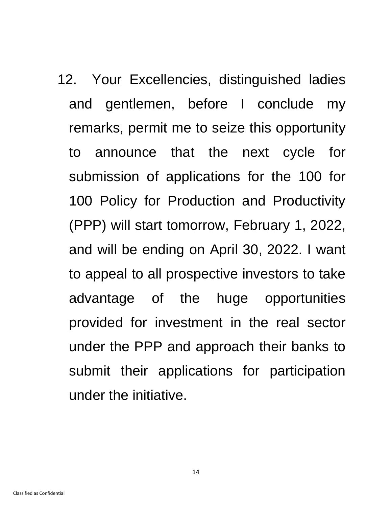12. Your Excellencies, distinguished ladies and gentlemen, before I conclude my remarks, permit me to seize this opportunity to announce that the next cycle for submission of applications for the 100 for 100 Policy for Production and Productivity (PPP) will start tomorrow, February 1, 2022, and will be ending on April 30, 2022. I want to appeal to all prospective investors to take advantage of the huge opportunities provided for investment in the real sector under the PPP and approach their banks to submit their applications for participation under the initiative.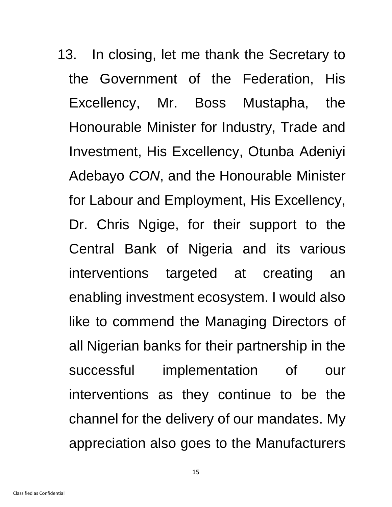13. In closing, let me thank the Secretary to the Government of the Federation, His Excellency, Mr. Boss Mustapha, the Honourable Minister for Industry, Trade and Investment, His Excellency, Otunba Adeniyi Adebayo *CON*, and the Honourable Minister for Labour and Employment, His Excellency, Dr. Chris Ngige, for their support to the Central Bank of Nigeria and its various interventions targeted at creating an enabling investment ecosystem. I would also like to commend the Managing Directors of all Nigerian banks for their partnership in the successful implementation of our interventions as they continue to be the channel for the delivery of our mandates. My appreciation also goes to the Manufacturers